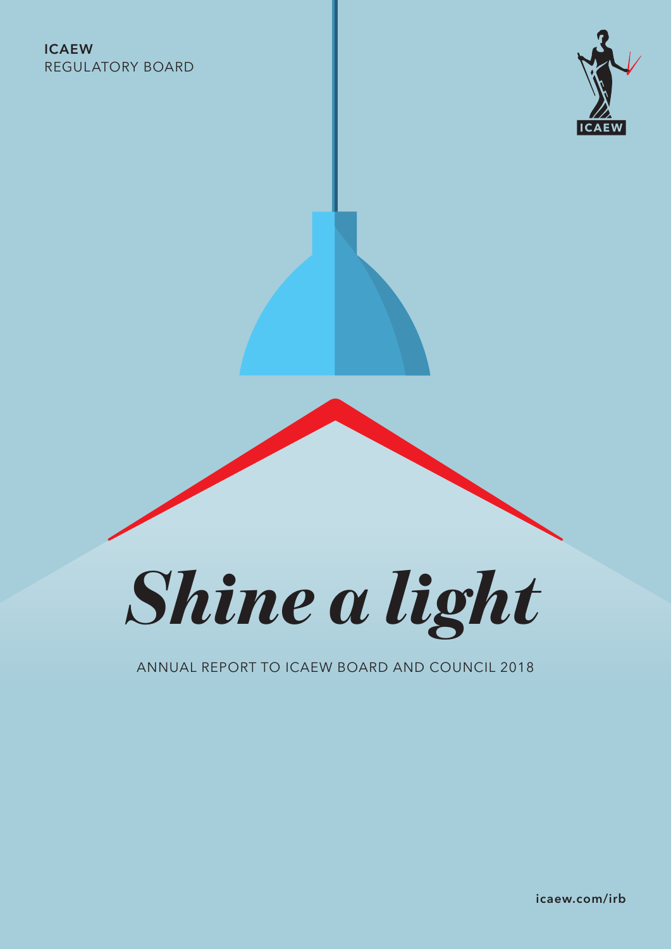### ICAEW REGULATORY BOARD





### ANNUAL REPORT TO ICAEW BOARD AND COUNCIL 2018

icaew.com/irb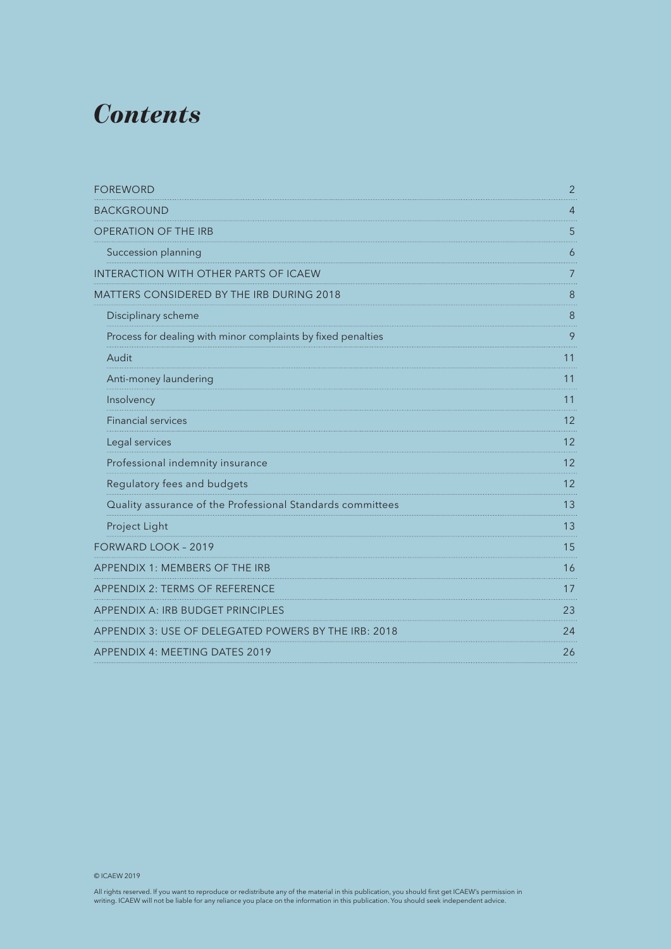### *Contents*

| <b>FOREWORD</b>                                              | $\overline{2}$ |
|--------------------------------------------------------------|----------------|
| <b>BACKGROUND</b>                                            | 4              |
| <b>OPERATION OF THE IRB</b>                                  | 5              |
| Succession planning                                          | 6              |
| INTERACTION WITH OTHER PARTS OF ICAEW                        | 7              |
| MATTERS CONSIDERED BY THE IRB DURING 2018                    | 8              |
| Disciplinary scheme                                          | 8              |
| Process for dealing with minor complaints by fixed penalties | 9              |
| Audit                                                        | 11             |
| Anti-money laundering                                        | 11             |
| Insolvency                                                   | 11             |
| <b>Financial services</b>                                    | 12             |
| Legal services                                               | 12             |
| Professional indemnity insurance                             | 12             |
| Regulatory fees and budgets                                  | 12             |
| Quality assurance of the Professional Standards committees   | 13             |
| Project Light                                                | 13             |
| FORWARD LOOK - 2019                                          | 15             |
| APPENDIX 1: MEMBERS OF THE IRB                               | 16             |
| APPENDIX 2: TERMS OF REFERENCE                               | 17             |
| <b>APPENDIX A: IRB BUDGET PRINCIPLES</b>                     | 23             |
| APPENDIX 3: USE OF DELEGATED POWERS BY THE IRB: 2018         | 24             |
| <b>APPENDIX 4: MEETING DATES 2019</b>                        | 26             |

© ICAEW 2019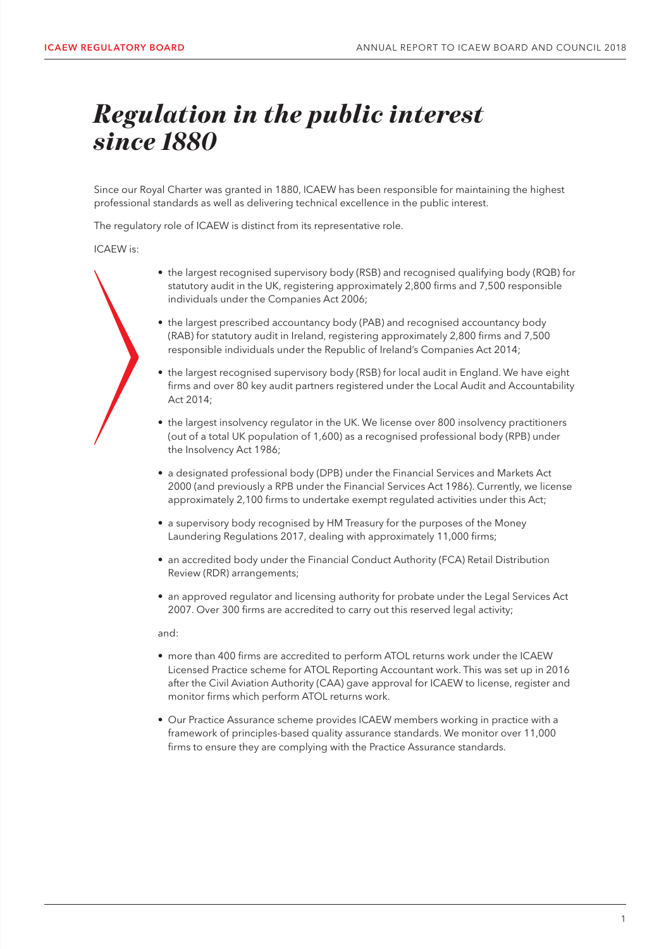### **Regulation in the public interest** *since 1880*

Since our Royal Charter was granted in 1880, ICAEW has been responsible for maintaining the highest professional standards as well as delivering technical excellence in the public interest.

The regulatory role of ICAEW is distinct from its representative role.

ICAEW is:

- the largest recognised supervisory body (RSB) and recognised qualifying body (RQB) for statutory audit in the UK, registering approximately 2,800 firms and 7,500 responsible individuals under the Companies Act 2006;
- the largest prescribed accountancy body (PAB) and recognised accountancy body (RAB) for statutory audit in Ireland, registering approximately 2,800 firms and 7,500 responsible individuals under the Republic of Ireland's Companies Act 2014;
- the largest recognised supervisory body (RSB) for local audit in England. We have eight firms and over 80 key audit partners registered under the Local Audit and Accountability Act 2014;
- the largest insolvency regulator in the UK. We license over 800 insolvency practitioners (out of a total UK population of 1,600) as a recognised professional body (RPB) under the Insolvency Act 1986;
- a designated professional body (DPB) under the Financial Services and Markets Act 2000 (and previously a RPB under the Financial Services Act 1986). Currently, we license approximately 2,100 firms to undertake exempt regulated activities under this Act;
- a supervisory body recognised by HM Treasury for the purposes of the Money Laundering Regulations 2017, dealing with approximately 11,000 firms;
- an accredited body under the Financial Conduct Authority (FCA) Retail Distribution Review (RDR) arrangements;
- an approved regulator and licensing authority for probate under the Legal Services Act 2007. Over 300 firms are accredited to carry out this reserved legal activity;

and:

- more than 400 firms are accredited to perform ATOL returns work under the ICAEW Licensed Practice scheme for ATOL Reporting Accountant work. This was set up in 2016 after the Civil Aviation Authority (CAA) gave approval for ICAEW to license, register and monitor firms which perform ATOL returns work.
- Our Practice Assurance scheme provides ICAEW members working in practice with a framework of principles-based quality assurance standards. We monitor over 11,000 firms to ensure they are complying with the Practice Assurance standards.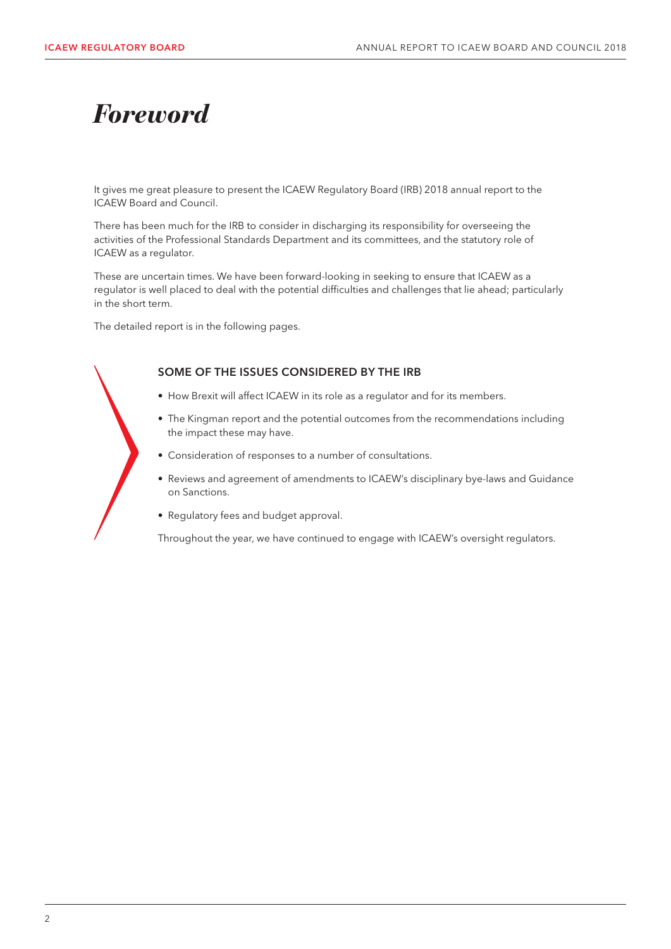### *Foreword*

It gives me great pleasure to present the ICAEW Regulatory Board (IRB) 2018 annual report to the ICAEW Board and Council.

There has been much for the IRB to consider in discharging its responsibility for overseeing the activities of the Professional Standards Department and its committees, and the statutory role of ICAEW as a regulator.

These are uncertain times. We have been forward-looking in seeking to ensure that ICAEW as a regulator is well placed to deal with the potential difficulties and challenges that lie ahead; particularly in the short term.

The detailed report is in the following pages.

#### SOME OF THE ISSUES CONSIDERED BY THE IRB

- How Brexit will affect ICAEW in its role as a regulator and for its members.
- The Kingman report and the potential outcomes from the recommendations including the impact these may have.
- Consideration of responses to a number of consultations.
- Reviews and agreement of amendments to ICAEW's disciplinary bye-laws and Guidance on Sanctions.
- Regulatory fees and budget approval.

Throughout the year, we have continued to engage with ICAEW's oversight regulators.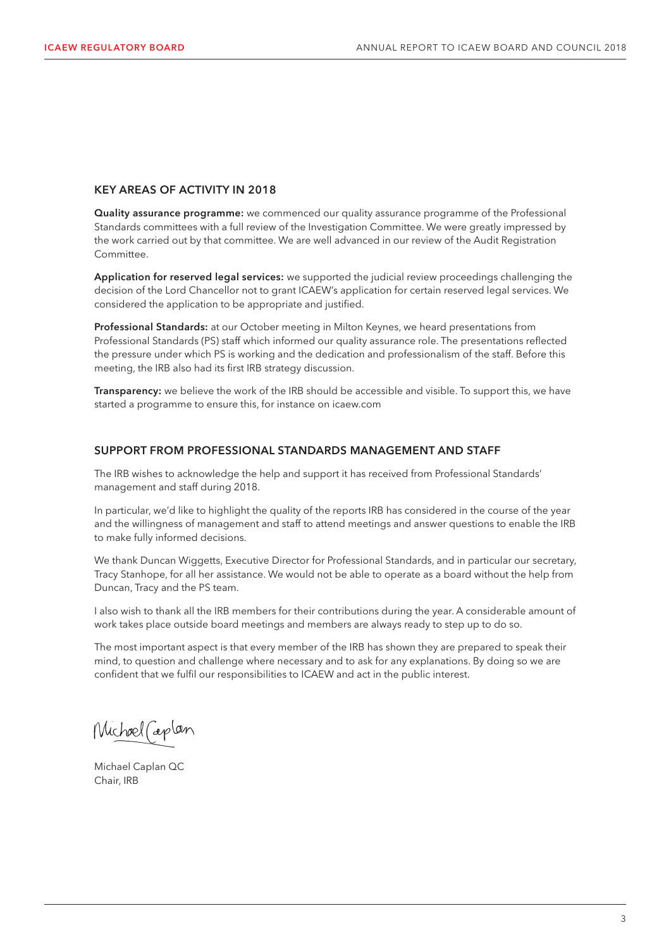#### KEY AREAS OF ACTIVITY IN 2018

Quality assurance programme: we commenced our quality assurance programme of the Professional Standards committees with a full review of the Investigation Committee. We were greatly impressed by the work carried out by that committee. We are well advanced in our review of the Audit Registration Committee.

Application for reserved legal services: we supported the judicial review proceedings challenging the decision of the Lord Chancellor not to grant ICAEW's application for certain reserved legal services. We considered the application to be appropriate and justified.

Professional Standards: at our October meeting in Milton Keynes, we heard presentations from Professional Standards (PS) staff which informed our quality assurance role. The presentations reflected the pressure under which PS is working and the dedication and professionalism of the staff. Before this meeting, the IRB also had its first IRB strategy discussion.

Transparency: we believe the work of the IRB should be accessible and visible. To support this, we have started a programme to ensure this, for instance on icaew.com

#### SUPPORT FROM PROFESSIONAL STANDARDS MANAGEMENT AND STAFF

The IRB wishes to acknowledge the help and support it has received from Professional Standards' management and staff during 2018.

In particular, we'd like to highlight the quality of the reports IRB has considered in the course of the year and the willingness of management and staff to attend meetings and answer questions to enable the IRB to make fully informed decisions.

We thank Duncan Wiggetts, Executive Director for Professional Standards, and in particular our secretary, Tracy Stanhope, for all her assistance. We would not be able to operate as a board without the help from Duncan, Tracy and the PS team.

I also wish to thank all the IRB members for their contributions during the year. A considerable amount of work takes place outside board meetings and members are always ready to step up to do so.

The most important aspect is that every member of the IRB has shown they are prepared to speak their mind, to question and challenge where necessary and to ask for any explanations. By doing so we are confident that we fulfil our responsibilities to ICAEW and act in the public interest.

Michael Caplan

Michael Caplan QC Chair, IRB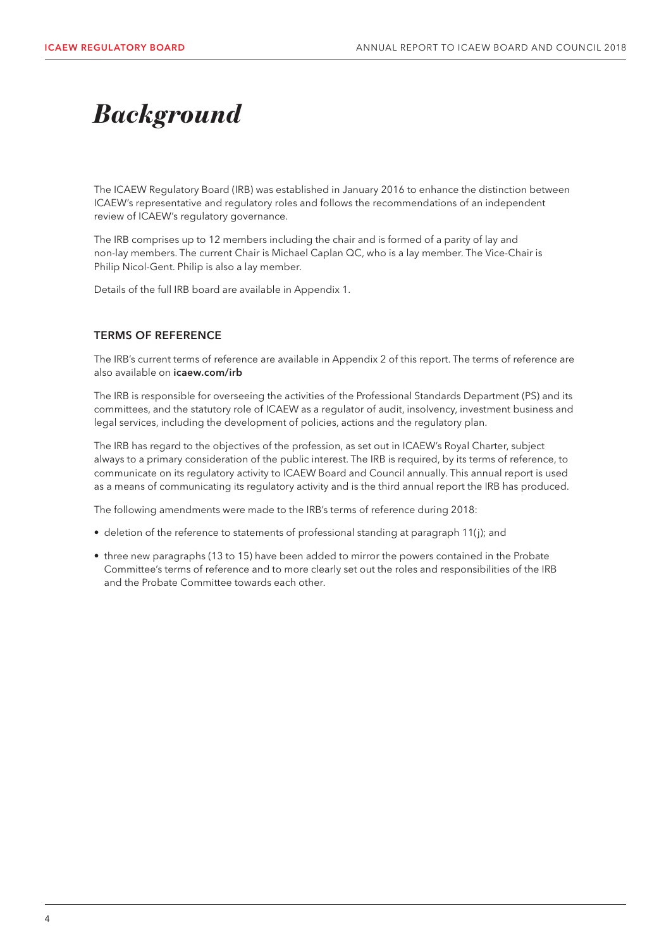## *Background*

The ICAEW Regulatory Board (IRB) was established in January 2016 to enhance the distinction between ICAEW's representative and regulatory roles and follows the recommendations of an independent review of ICAEW's regulatory governance.

The IRB comprises up to 12 members including the chair and is formed of a parity of lay and non-lay members. The current Chair is Michael Caplan QC, who is a lay member. The Vice-Chair is Philip Nicol-Gent. Philip is also a lay member.

Details of the full IRB board are available in Appendix 1.

#### TERMS OF REFERENCE

The IRB's current terms of reference are available in Appendix 2 of this report. The terms of reference are also available on icaew.com/irb

The IRB is responsible for overseeing the activities of the Professional Standards Department (PS) and its committees, and the statutory role of ICAEW as a regulator of audit, insolvency, investment business and legal services, including the development of policies, actions and the regulatory plan.

The IRB has regard to the objectives of the profession, as set out in ICAEW's Royal Charter, subject always to a primary consideration of the public interest. The IRB is required, by its terms of reference, to communicate on its regulatory activity to ICAEW Board and Council annually. This annual report is used as a means of communicating its regulatory activity and is the third annual report the IRB has produced.

The following amendments were made to the IRB's terms of reference during 2018:

- deletion of the reference to statements of professional standing at paragraph 11(j); and
- three new paragraphs (13 to 15) have been added to mirror the powers contained in the Probate Committee's terms of reference and to more clearly set out the roles and responsibilities of the IRB and the Probate Committee towards each other.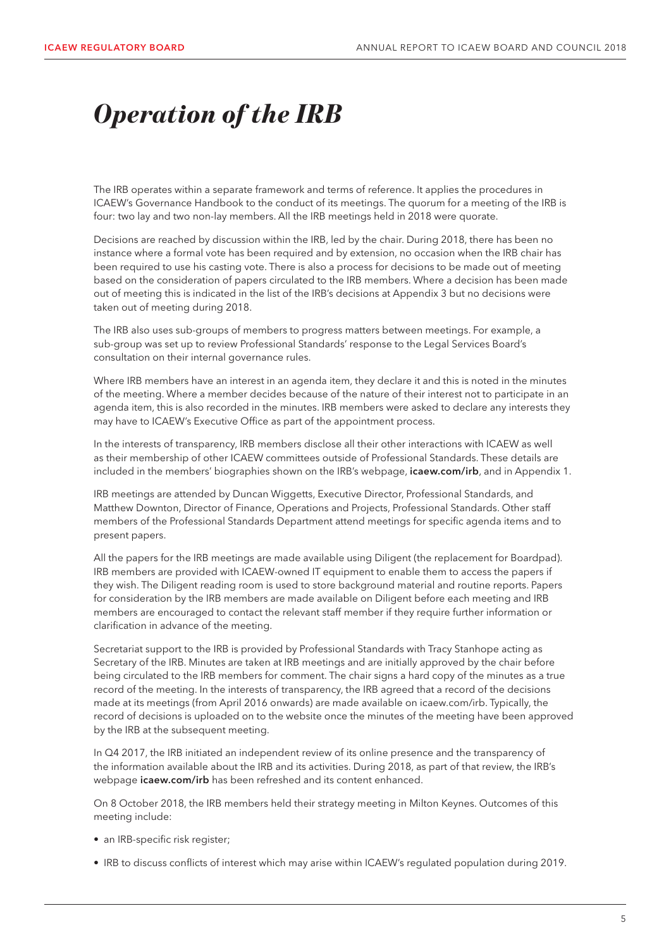## *Operation of the IRB*

The IRB operates within a separate framework and terms of reference. It applies the procedures in ICAEW's Governance Handbook to the conduct of its meetings. The quorum for a meeting of the IRB is four: two lay and two non-lay members. All the IRB meetings held in 2018 were quorate.

Decisions are reached by discussion within the IRB, led by the chair. During 2018, there has been no instance where a formal vote has been required and by extension, no occasion when the IRB chair has been required to use his casting vote. There is also a process for decisions to be made out of meeting based on the consideration of papers circulated to the IRB members. Where a decision has been made out of meeting this is indicated in the list of the IRB's decisions at Appendix 3 but no decisions were taken out of meeting during 2018.

The IRB also uses sub-groups of members to progress matters between meetings. For example, a sub-group was set up to review Professional Standards' response to the Legal Services Board's consultation on their internal governance rules.

Where IRB members have an interest in an agenda item, they declare it and this is noted in the minutes of the meeting. Where a member decides because of the nature of their interest not to participate in an agenda item, this is also recorded in the minutes. IRB members were asked to declare any interests they may have to ICAEW's Executive Office as part of the appointment process.

In the interests of transparency, IRB members disclose all their other interactions with ICAEW as well as their membership of other ICAEW committees outside of Professional Standards. These details are included in the members' biographies shown on the IRB's webpage, icaew.com/irb, and in Appendix 1.

IRB meetings are attended by Duncan Wiggetts, Executive Director, Professional Standards, and Matthew Downton, Director of Finance, Operations and Projects, Professional Standards. Other staff members of the Professional Standards Department attend meetings for specific agenda items and to present papers.

All the papers for the IRB meetings are made available using Diligent (the replacement for Boardpad). IRB members are provided with ICAEW-owned IT equipment to enable them to access the papers if they wish. The Diligent reading room is used to store background material and routine reports. Papers for consideration by the IRB members are made available on Diligent before each meeting and IRB members are encouraged to contact the relevant staff member if they require further information or clarification in advance of the meeting.

Secretariat support to the IRB is provided by Professional Standards with Tracy Stanhope acting as Secretary of the IRB. Minutes are taken at IRB meetings and are initially approved by the chair before being circulated to the IRB members for comment. The chair signs a hard copy of the minutes as a true record of the meeting. In the interests of transparency, the IRB agreed that a record of the decisions made at its meetings (from April 2016 onwards) are made available on icaew.com/irb. Typically, the record of decisions is uploaded on to the website once the minutes of the meeting have been approved by the IRB at the subsequent meeting.

In Q4 2017, the IRB initiated an independent review of its online presence and the transparency of the information available about the IRB and its activities. During 2018, as part of that review, the IRB's webpage *icaew.com/irb* has been refreshed and its content enhanced.

On 8 October 2018, the IRB members held their strategy meeting in Milton Keynes. Outcomes of this meeting include:

- an IRB-specific risk register;
- IRB to discuss conflicts of interest which may arise within ICAEW's regulated population during 2019.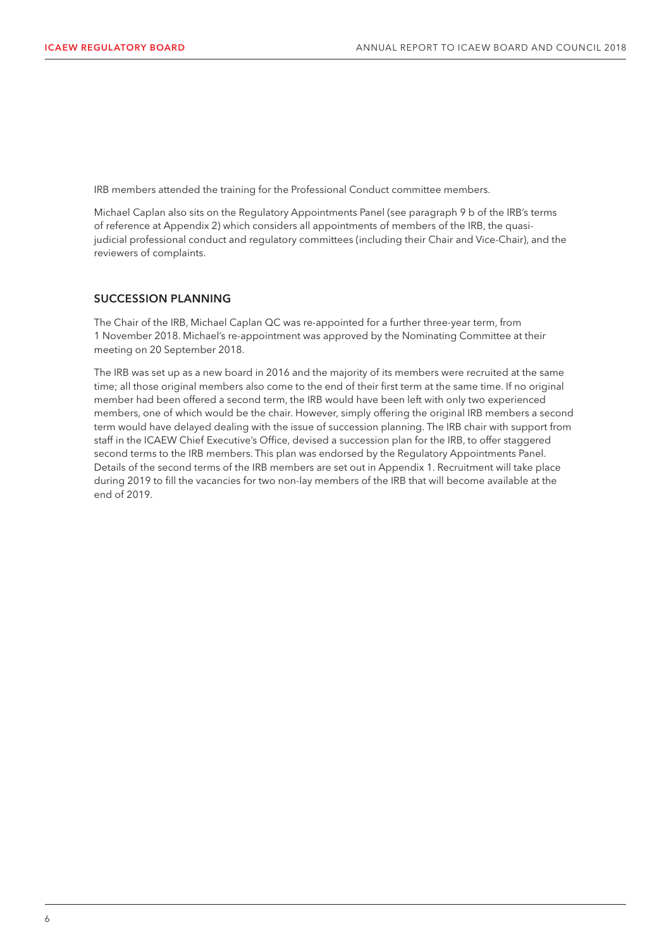IRB members attended the training for the Professional Conduct committee members.

Michael Caplan also sits on the Regulatory Appointments Panel (see paragraph 9 b of the IRB's terms of reference at Appendix 2) which considers all appointments of members of the IRB, the quasijudicial professional conduct and regulatory committees (including their Chair and Vice-Chair), and the reviewers of complaints.

#### SUCCESSION PLANNING

The Chair of the IRB, Michael Caplan QC was re-appointed for a further three-year term, from 1 November 2018. Michael's re-appointment was approved by the Nominating Committee at their meeting on 20 September 2018.

The IRB was set up as a new board in 2016 and the majority of its members were recruited at the same time; all those original members also come to the end of their first term at the same time. If no original member had been offered a second term, the IRB would have been left with only two experienced members, one of which would be the chair. However, simply offering the original IRB members a second term would have delayed dealing with the issue of succession planning. The IRB chair with support from staff in the ICAEW Chief Executive's Office, devised a succession plan for the IRB, to offer staggered second terms to the IRB members. This plan was endorsed by the Regulatory Appointments Panel. Details of the second terms of the IRB members are set out in Appendix 1. Recruitment will take place during 2019 to fill the vacancies for two non-lay members of the IRB that will become available at the end of 2019.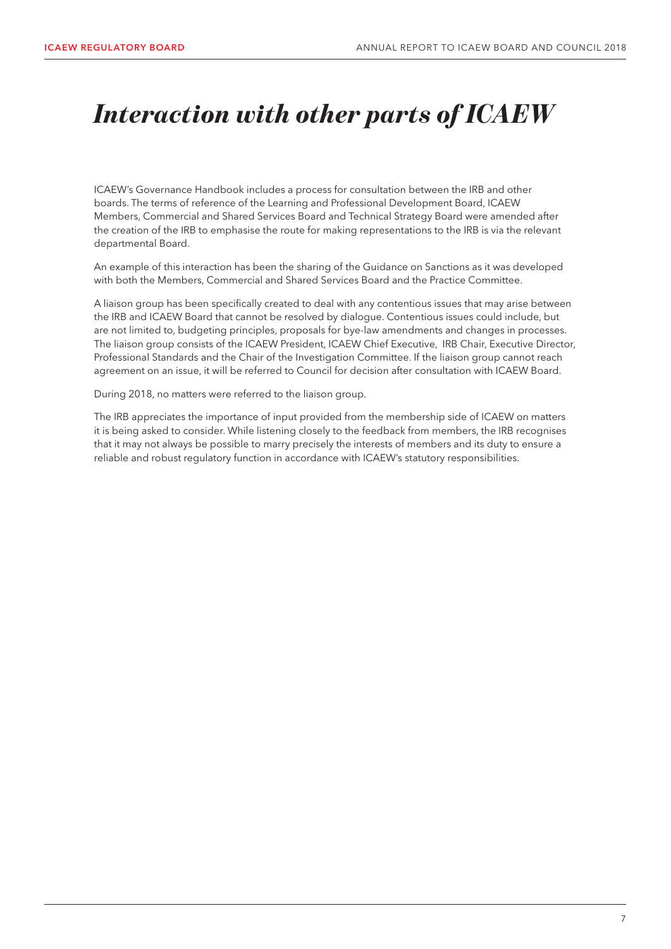## *Interaction with other parts of ICAEW*

ICAEW's Governance Handbook includes a process for consultation between the IRB and other boards. The terms of reference of the Learning and Professional Development Board, ICAEW Members, Commercial and Shared Services Board and Technical Strategy Board were amended after the creation of the IRB to emphasise the route for making representations to the IRB is via the relevant departmental Board.

An example of this interaction has been the sharing of the Guidance on Sanctions as it was developed with both the Members, Commercial and Shared Services Board and the Practice Committee.

A liaison group has been specifically created to deal with any contentious issues that may arise between the IRB and ICAEW Board that cannot be resolved by dialogue. Contentious issues could include, but are not limited to, budgeting principles, proposals for bye-law amendments and changes in processes. The liaison group consists of the ICAEW President, ICAEW Chief Executive, IRB Chair, Executive Director, Professional Standards and the Chair of the Investigation Committee. If the liaison group cannot reach agreement on an issue, it will be referred to Council for decision after consultation with ICAEW Board.

During 2018, no matters were referred to the liaison group.

The IRB appreciates the importance of input provided from the membership side of ICAEW on matters it is being asked to consider. While listening closely to the feedback from members, the IRB recognises that it may not always be possible to marry precisely the interests of members and its duty to ensure a reliable and robust regulatory function in accordance with ICAEW's statutory responsibilities.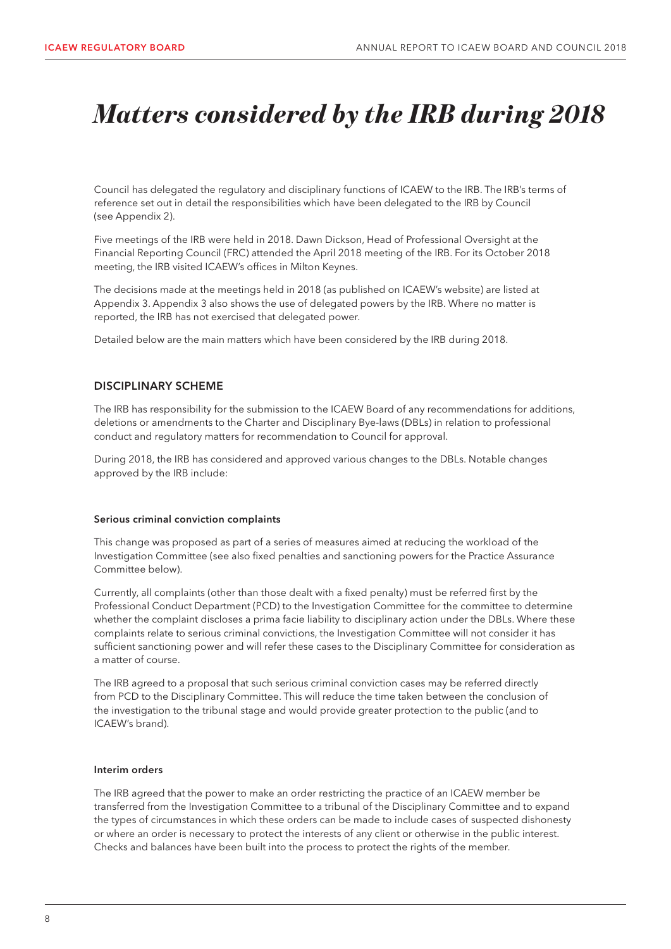### *Matters considered by the IRB during 2018*

Council has delegated the regulatory and disciplinary functions of ICAEW to the IRB. The IRB's terms of reference set out in detail the responsibilities which have been delegated to the IRB by Council (see Appendix 2).

Five meetings of the IRB were held in 2018. Dawn Dickson, Head of Professional Oversight at the Financial Reporting Council (FRC) attended the April 2018 meeting of the IRB. For its October 2018 meeting, the IRB visited ICAEW's offices in Milton Keynes.

The decisions made at the meetings held in 2018 (as published on ICAEW's website) are listed at Appendix 3. Appendix 3 also shows the use of delegated powers by the IRB. Where no matter is reported, the IRB has not exercised that delegated power.

Detailed below are the main matters which have been considered by the IRB during 2018.

#### DISCIPLINARY SCHEME

The IRB has responsibility for the submission to the ICAEW Board of any recommendations for additions, deletions or amendments to the Charter and Disciplinary Bye-laws (DBLs) in relation to professional conduct and regulatory matters for recommendation to Council for approval.

During 2018, the IRB has considered and approved various changes to the DBLs. Notable changes approved by the IRB include:

#### Serious criminal conviction complaints

This change was proposed as part of a series of measures aimed at reducing the workload of the Investigation Committee (see also fixed penalties and sanctioning powers for the Practice Assurance Committee below).

Currently, all complaints (other than those dealt with a fixed penalty) must be referred first by the Professional Conduct Department (PCD) to the Investigation Committee for the committee to determine whether the complaint discloses a prima facie liability to disciplinary action under the DBLs. Where these complaints relate to serious criminal convictions, the Investigation Committee will not consider it has sufficient sanctioning power and will refer these cases to the Disciplinary Committee for consideration as a matter of course.

The IRB agreed to a proposal that such serious criminal conviction cases may be referred directly from PCD to the Disciplinary Committee. This will reduce the time taken between the conclusion of the investigation to the tribunal stage and would provide greater protection to the public (and to ICAEW's brand).

#### Interim orders

The IRB agreed that the power to make an order restricting the practice of an ICAEW member be transferred from the Investigation Committee to a tribunal of the Disciplinary Committee and to expand the types of circumstances in which these orders can be made to include cases of suspected dishonesty or where an order is necessary to protect the interests of any client or otherwise in the public interest. Checks and balances have been built into the process to protect the rights of the member.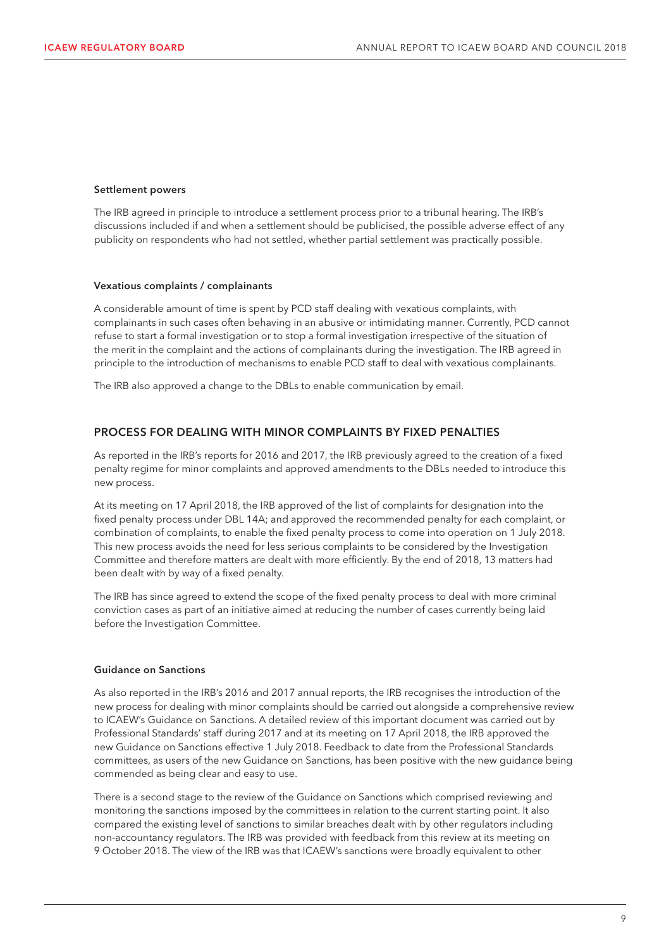#### Settlement powers

The IRB agreed in principle to introduce a settlement process prior to a tribunal hearing. The IRB's discussions included if and when a settlement should be publicised, the possible adverse effect of any publicity on respondents who had not settled, whether partial settlement was practically possible.

#### Vexatious complaints / complainants

A considerable amount of time is spent by PCD staff dealing with vexatious complaints, with complainants in such cases often behaving in an abusive or intimidating manner. Currently, PCD cannot refuse to start a formal investigation or to stop a formal investigation irrespective of the situation of the merit in the complaint and the actions of complainants during the investigation. The IRB agreed in principle to the introduction of mechanisms to enable PCD staff to deal with vexatious complainants.

The IRB also approved a change to the DBLs to enable communication by email.

#### PROCESS FOR DEALING WITH MINOR COMPLAINTS BY FIXED PENALTIES

As reported in the IRB's reports for 2016 and 2017, the IRB previously agreed to the creation of a fixed penalty regime for minor complaints and approved amendments to the DBLs needed to introduce this new process.

At its meeting on 17 April 2018, the IRB approved of the list of complaints for designation into the fixed penalty process under DBL 14A; and approved the recommended penalty for each complaint, or combination of complaints, to enable the fixed penalty process to come into operation on 1 July 2018. This new process avoids the need for less serious complaints to be considered by the Investigation Committee and therefore matters are dealt with more efficiently. By the end of 2018, 13 matters had been dealt with by way of a fixed penalty.

The IRB has since agreed to extend the scope of the fixed penalty process to deal with more criminal conviction cases as part of an initiative aimed at reducing the number of cases currently being laid before the Investigation Committee.

#### Guidance on Sanctions

As also reported in the IRB's 2016 and 2017 annual reports, the IRB recognises the introduction of the new process for dealing with minor complaints should be carried out alongside a comprehensive review to ICAEW's Guidance on Sanctions. A detailed review of this important document was carried out by Professional Standards' staff during 2017 and at its meeting on 17 April 2018, the IRB approved the new Guidance on Sanctions effective 1 July 2018. Feedback to date from the Professional Standards committees, as users of the new Guidance on Sanctions, has been positive with the new guidance being commended as being clear and easy to use.

There is a second stage to the review of the Guidance on Sanctions which comprised reviewing and monitoring the sanctions imposed by the committees in relation to the current starting point. It also compared the existing level of sanctions to similar breaches dealt with by other regulators including non-accountancy regulators. The IRB was provided with feedback from this review at its meeting on 9 October 2018. The view of the IRB was that ICAEW's sanctions were broadly equivalent to other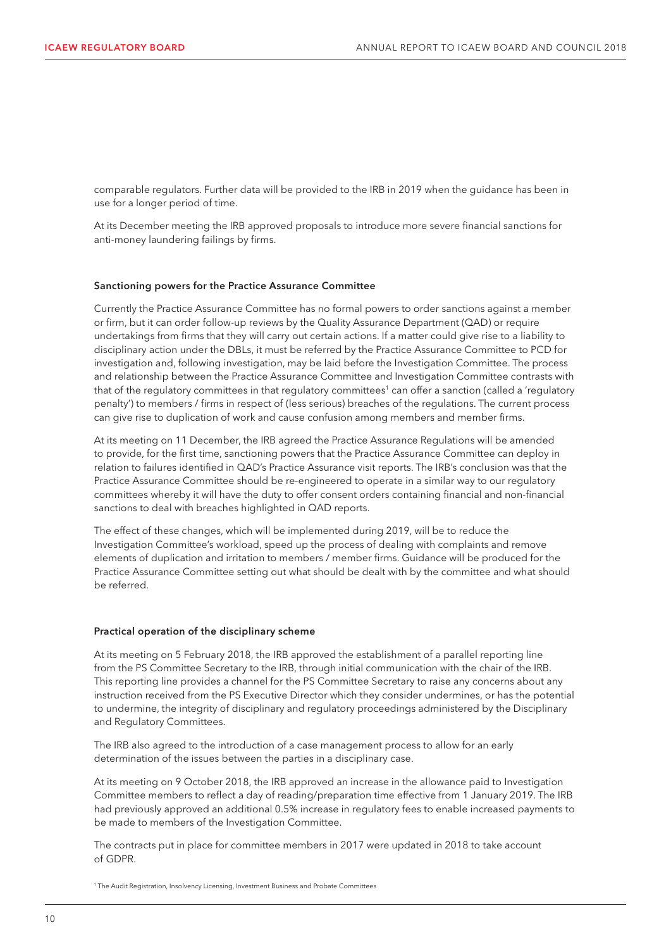comparable regulators. Further data will be provided to the IRB in 2019 when the guidance has been in use for a longer period of time.

At its December meeting the IRB approved proposals to introduce more severe financial sanctions for anti-money laundering failings by firms.

#### Sanctioning powers for the Practice Assurance Committee

Currently the Practice Assurance Committee has no formal powers to order sanctions against a member or firm, but it can order follow-up reviews by the Quality Assurance Department (QAD) or require undertakings from firms that they will carry out certain actions. If a matter could give rise to a liability to disciplinary action under the DBLs, it must be referred by the Practice Assurance Committee to PCD for investigation and, following investigation, may be laid before the Investigation Committee. The process and relationship between the Practice Assurance Committee and Investigation Committee contrasts with that of the regulatory committees in that regulatory committees<sup>1</sup> can offer a sanction (called a 'regulatory penalty') to members / firms in respect of (less serious) breaches of the regulations. The current process can give rise to duplication of work and cause confusion among members and member firms.

At its meeting on 11 December, the IRB agreed the Practice Assurance Regulations will be amended to provide, for the first time, sanctioning powers that the Practice Assurance Committee can deploy in relation to failures identified in QAD's Practice Assurance visit reports. The IRB's conclusion was that the Practice Assurance Committee should be re-engineered to operate in a similar way to our regulatory committees whereby it will have the duty to offer consent orders containing financial and non-financial sanctions to deal with breaches highlighted in QAD reports.

The effect of these changes, which will be implemented during 2019, will be to reduce the Investigation Committee's workload, speed up the process of dealing with complaints and remove elements of duplication and irritation to members / member firms. Guidance will be produced for the Practice Assurance Committee setting out what should be dealt with by the committee and what should be referred.

#### Practical operation of the disciplinary scheme

At its meeting on 5 February 2018, the IRB approved the establishment of a parallel reporting line from the PS Committee Secretary to the IRB, through initial communication with the chair of the IRB. This reporting line provides a channel for the PS Committee Secretary to raise any concerns about any instruction received from the PS Executive Director which they consider undermines, or has the potential to undermine, the integrity of disciplinary and regulatory proceedings administered by the Disciplinary and Regulatory Committees.

The IRB also agreed to the introduction of a case management process to allow for an early determination of the issues between the parties in a disciplinary case.

At its meeting on 9 October 2018, the IRB approved an increase in the allowance paid to Investigation Committee members to reflect a day of reading/preparation time effective from 1 January 2019. The IRB had previously approved an additional 0.5% increase in regulatory fees to enable increased payments to be made to members of the Investigation Committee.

The contracts put in place for committee members in 2017 were updated in 2018 to take account of GDPR.

<sup>1</sup> The Audit Registration, Insolvency Licensing, Investment Business and Probate Committees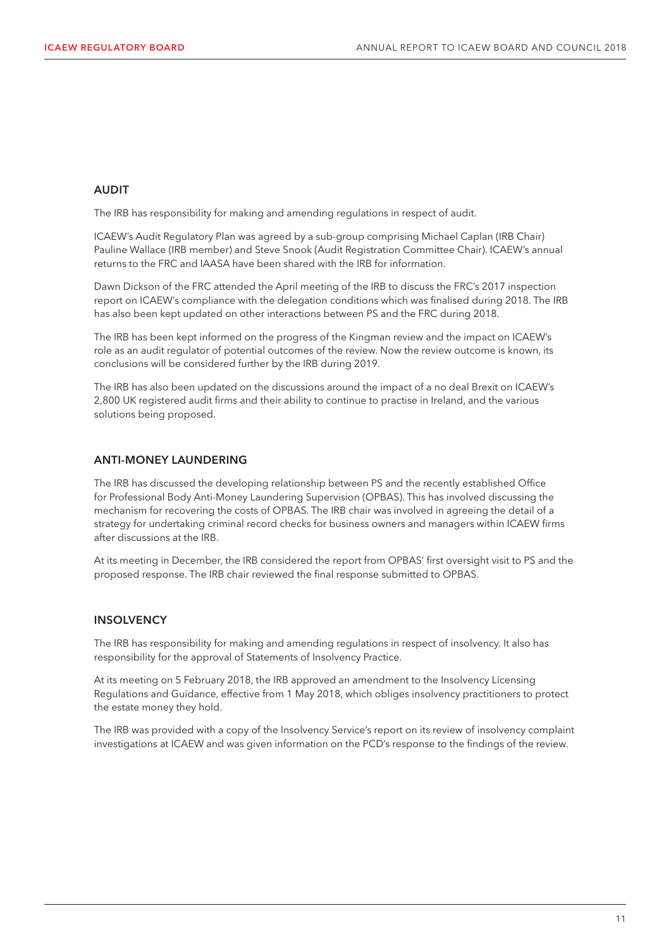#### AUDIT

The IRB has responsibility for making and amending regulations in respect of audit.

ICAEW's Audit Regulatory Plan was agreed by a sub-group comprising Michael Caplan (IRB Chair) Pauline Wallace (IRB member) and Steve Snook (Audit Registration Committee Chair). ICAEW's annual returns to the FRC and IAASA have been shared with the IRB for information.

Dawn Dickson of the FRC attended the April meeting of the IRB to discuss the FRC's 2017 inspection report on ICAEW's compliance with the delegation conditions which was finalised during 2018. The IRB has also been kept updated on other interactions between PS and the FRC during 2018.

The IRB has been kept informed on the progress of the Kingman review and the impact on ICAEW's role as an audit regulator of potential outcomes of the review. Now the review outcome is known, its conclusions will be considered further by the IRB during 2019.

The IRB has also been updated on the discussions around the impact of a no deal Brexit on ICAEW's 2,800 UK registered audit firms and their ability to continue to practise in Ireland, and the various solutions being proposed.

#### ANTI-MONEY LAUNDERING

The IRB has discussed the developing relationship between PS and the recently established Office for Professional Body Anti-Money Laundering Supervision (OPBAS). This has involved discussing the mechanism for recovering the costs of OPBAS. The IRB chair was involved in agreeing the detail of a strategy for undertaking criminal record checks for business owners and managers within ICAEW firms after discussions at the IRB.

At its meeting in December, the IRB considered the report from OPBAS' first oversight visit to PS and the proposed response. The IRB chair reviewed the final response submitted to OPBAS.

#### **INSOLVENCY**

The IRB has responsibility for making and amending regulations in respect of insolvency. It also has responsibility for the approval of Statements of Insolvency Practice.

At its meeting on 5 February 2018, the IRB approved an amendment to the Insolvency Licensing Regulations and Guidance, effective from 1 May 2018, which obliges insolvency practitioners to protect the estate money they hold.

The IRB was provided with a copy of the Insolvency Service's report on its review of insolvency complaint investigations at ICAEW and was given information on the PCD's response to the findings of the review.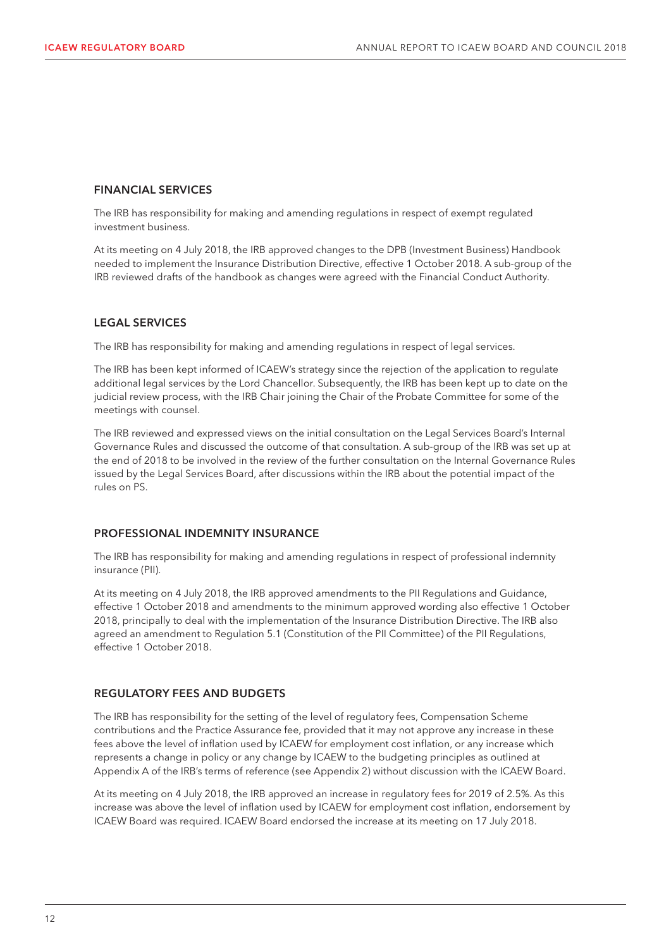#### FINANCIAL SERVICES

The IRB has responsibility for making and amending regulations in respect of exempt regulated investment business.

At its meeting on 4 July 2018, the IRB approved changes to the DPB (Investment Business) Handbook needed to implement the Insurance Distribution Directive, effective 1 October 2018. A sub-group of the IRB reviewed drafts of the handbook as changes were agreed with the Financial Conduct Authority.

#### LEGAL SERVICES

The IRB has responsibility for making and amending regulations in respect of legal services.

The IRB has been kept informed of ICAEW's strategy since the rejection of the application to regulate additional legal services by the Lord Chancellor. Subsequently, the IRB has been kept up to date on the judicial review process, with the IRB Chair joining the Chair of the Probate Committee for some of the meetings with counsel.

The IRB reviewed and expressed views on the initial consultation on the Legal Services Board's Internal Governance Rules and discussed the outcome of that consultation. A sub-group of the IRB was set up at the end of 2018 to be involved in the review of the further consultation on the Internal Governance Rules issued by the Legal Services Board, after discussions within the IRB about the potential impact of the rules on PS.

#### PROFESSIONAL INDEMNITY INSURANCE

The IRB has responsibility for making and amending regulations in respect of professional indemnity insurance (PII).

At its meeting on 4 July 2018, the IRB approved amendments to the PII Regulations and Guidance, effective 1 October 2018 and amendments to the minimum approved wording also effective 1 October 2018, principally to deal with the implementation of the Insurance Distribution Directive. The IRB also agreed an amendment to Regulation 5.1 (Constitution of the PII Committee) of the PII Regulations, effective 1 October 2018.

#### REGULATORY FEES AND BUDGETS

The IRB has responsibility for the setting of the level of regulatory fees, Compensation Scheme contributions and the Practice Assurance fee, provided that it may not approve any increase in these fees above the level of inflation used by ICAEW for employment cost inflation, or any increase which represents a change in policy or any change by ICAEW to the budgeting principles as outlined at Appendix A of the IRB's terms of reference (see Appendix 2) without discussion with the ICAEW Board.

At its meeting on 4 July 2018, the IRB approved an increase in regulatory fees for 2019 of 2.5%. As this increase was above the level of inflation used by ICAEW for employment cost inflation, endorsement by ICAEW Board was required. ICAEW Board endorsed the increase at its meeting on 17 July 2018.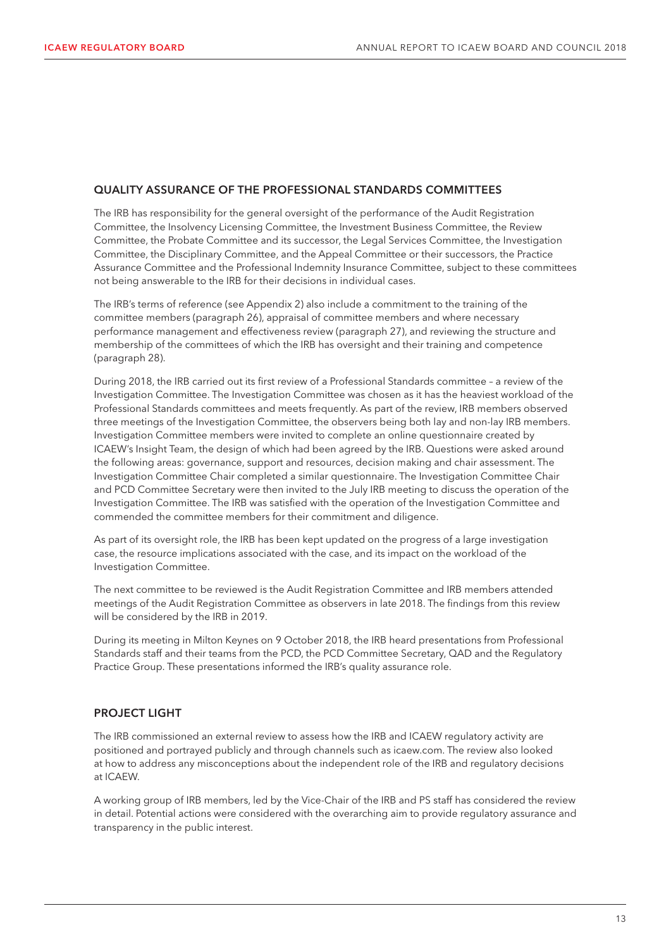#### QUALITY ASSURANCE OF THE PROFESSIONAL STANDARDS COMMITTEES

The IRB has responsibility for the general oversight of the performance of the Audit Registration Committee, the Insolvency Licensing Committee, the Investment Business Committee, the Review Committee, the Probate Committee and its successor, the Legal Services Committee, the Investigation Committee, the Disciplinary Committee, and the Appeal Committee or their successors, the Practice Assurance Committee and the Professional Indemnity Insurance Committee, subject to these committees not being answerable to the IRB for their decisions in individual cases.

The IRB's terms of reference (see Appendix 2) also include a commitment to the training of the committee members (paragraph 26), appraisal of committee members and where necessary performance management and effectiveness review (paragraph 27), and reviewing the structure and membership of the committees of which the IRB has oversight and their training and competence (paragraph 28).

During 2018, the IRB carried out its first review of a Professional Standards committee – a review of the Investigation Committee. The Investigation Committee was chosen as it has the heaviest workload of the Professional Standards committees and meets frequently. As part of the review, IRB members observed three meetings of the Investigation Committee, the observers being both lay and non-lay IRB members. Investigation Committee members were invited to complete an online questionnaire created by ICAEW's Insight Team, the design of which had been agreed by the IRB. Questions were asked around the following areas: governance, support and resources, decision making and chair assessment. The Investigation Committee Chair completed a similar questionnaire. The Investigation Committee Chair and PCD Committee Secretary were then invited to the July IRB meeting to discuss the operation of the Investigation Committee. The IRB was satisfied with the operation of the Investigation Committee and commended the committee members for their commitment and diligence.

As part of its oversight role, the IRB has been kept updated on the progress of a large investigation case, the resource implications associated with the case, and its impact on the workload of the Investigation Committee.

The next committee to be reviewed is the Audit Registration Committee and IRB members attended meetings of the Audit Registration Committee as observers in late 2018. The findings from this review will be considered by the IRB in 2019.

During its meeting in Milton Keynes on 9 October 2018, the IRB heard presentations from Professional Standards staff and their teams from the PCD, the PCD Committee Secretary, QAD and the Regulatory Practice Group. These presentations informed the IRB's quality assurance role.

#### PROJECT LIGHT

The IRB commissioned an external review to assess how the IRB and ICAEW regulatory activity are positioned and portrayed publicly and through channels such as icaew.com. The review also looked at how to address any misconceptions about the independent role of the IRB and regulatory decisions at ICAEW.

A working group of IRB members, led by the Vice-Chair of the IRB and PS staff has considered the review in detail. Potential actions were considered with the overarching aim to provide regulatory assurance and transparency in the public interest.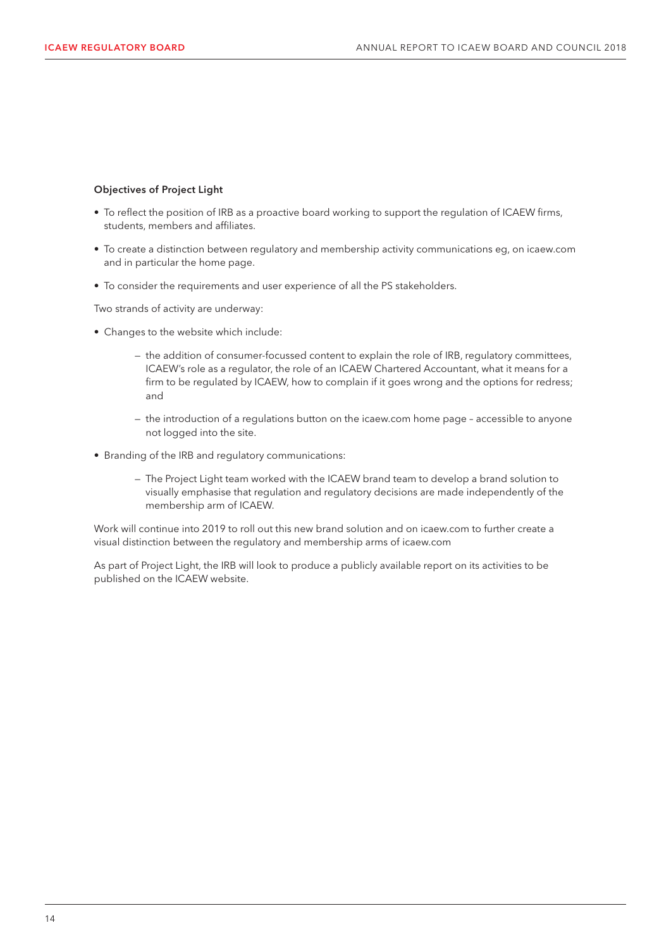#### Objectives of Project Light

- To reflect the position of IRB as a proactive board working to support the regulation of ICAEW firms, students, members and affiliates.
- To create a distinction between regulatory and membership activity communications eg, on icaew.com and in particular the home page.
- To consider the requirements and user experience of all the PS stakeholders.

Two strands of activity are underway:

- Changes to the website which include:
	- the addition of consumer-focussed content to explain the role of IRB, regulatory committees, ICAEW's role as a regulator, the role of an ICAEW Chartered Accountant, what it means for a firm to be regulated by ICAEW, how to complain if it goes wrong and the options for redress; and
	- the introduction of a regulations button on the icaew.com home page accessible to anyone not logged into the site.
- Branding of the IRB and regulatory communications:
	- The Project Light team worked with the ICAEW brand team to develop a brand solution to visually emphasise that regulation and regulatory decisions are made independently of the membership arm of ICAEW.

Work will continue into 2019 to roll out this new brand solution and on icaew.com to further create a visual distinction between the regulatory and membership arms of icaew.com

As part of Project Light, the IRB will look to produce a publicly available report on its activities to be published on the ICAEW website.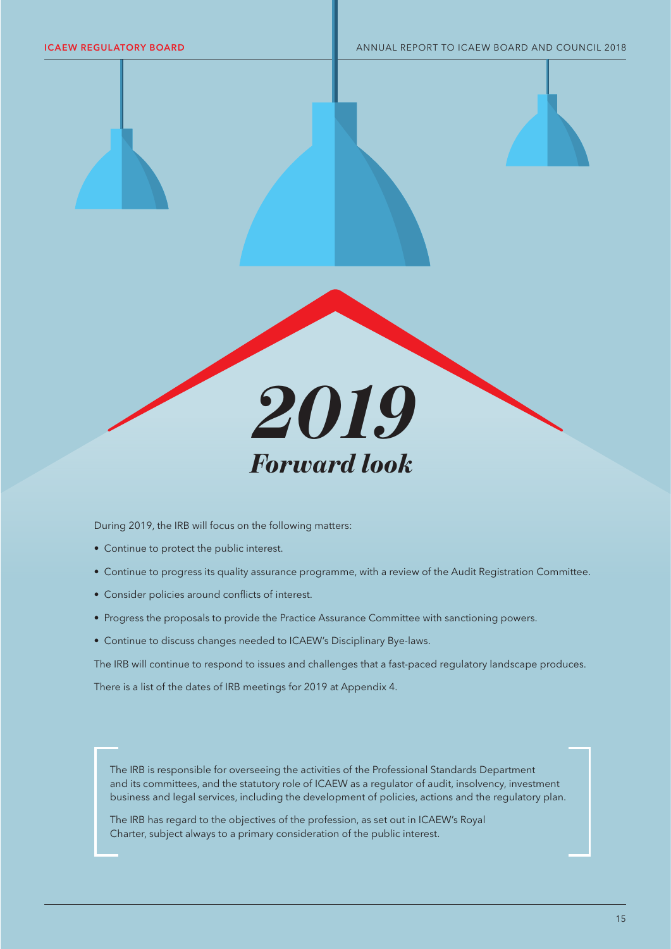

During 2019, the IRB will focus on the following matters:

- Continue to protect the public interest.
- Continue to progress its quality assurance programme, with a review of the Audit Registration Committee.
- Consider policies around conflicts of interest.
- Progress the proposals to provide the Practice Assurance Committee with sanctioning powers.
- Continue to discuss changes needed to ICAEW's Disciplinary Bye-laws.

The IRB will continue to respond to issues and challenges that a fast-paced regulatory landscape produces.

There is a list of the dates of IRB meetings for 2019 at Appendix 4.

The IRB is responsible for overseeing the activities of the Professional Standards Department and its committees, and the statutory role of ICAEW as a regulator of audit, insolvency, investment business and legal services, including the development of policies, actions and the regulatory plan.

The IRB has regard to the objectives of the profession, as set out in ICAEW's Royal Charter, subject always to a primary consideration of the public interest.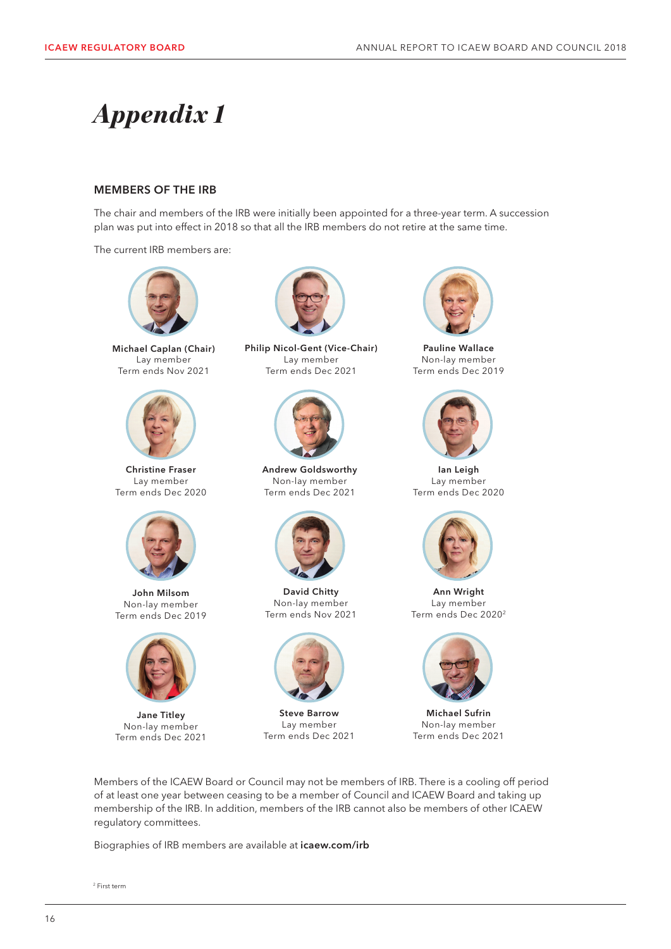## *Appendix 1*

#### MEMBERS OF THE IRB

The chair and members of the IRB were initially been appointed for a three-year term. A succession plan was put into effect in 2018 so that all the IRB members do not retire at the same time.

The current IRB members are:



Michael Caplan (Chair) Lay member Term ends Nov 2021



Christine Fraser Lay member Term ends Dec 2020



John Milsom Non-lay member Term ends Dec 2019



Jane Titley Non-lay member Term ends Dec 2021



Philip Nicol-Gent (Vice-Chair) Lay member Term ends Dec 2021



Andrew Goldsworthy Non-lay member Term ends Dec 2021



David Chitty Non-lay member Term ends Nov 2021



Steve Barrow Lay member Term ends Dec 2021



Pauline Wallace Non-lay member Term ends Dec 2019



Ian Leigh Lay member Term ends Dec 2020



Ann Wright Lay member Term ends Dec 20202



Michael Sufrin Non-lay member Term ends Dec 2021

Members of the ICAEW Board or Council may not be members of IRB. There is a cooling off period of at least one year between ceasing to be a member of Council and ICAEW Board and taking up membership of the IRB. In addition, members of the IRB cannot also be members of other ICAEW regulatory committees.

Biographies of IRB members are available at icaew.com/irb

<sup>2</sup> First term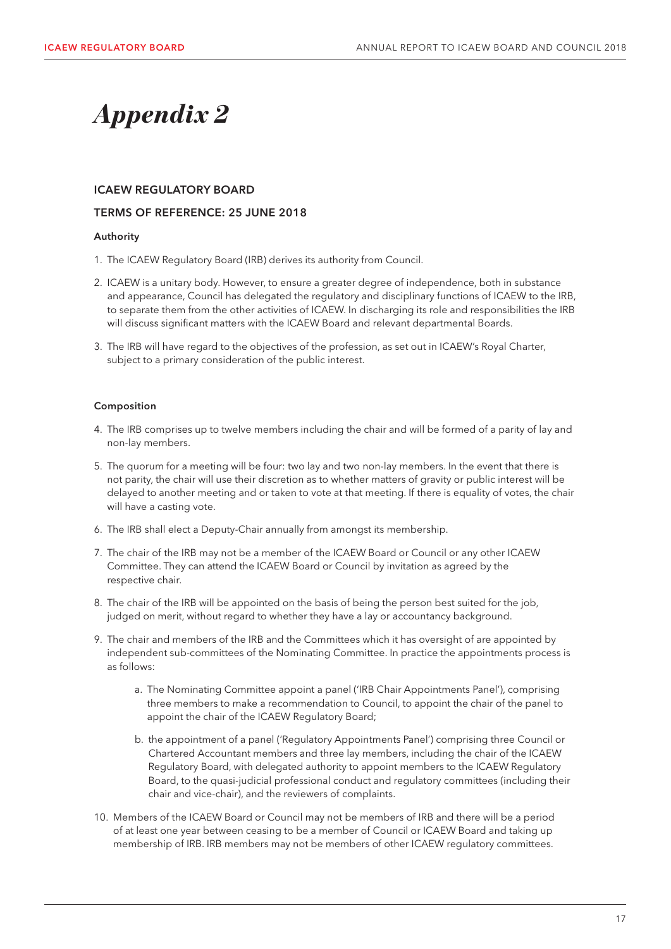## *Appendix 2*

#### ICAEW REGULATORY BOARD

#### TERMS OF REFERENCE: 25 JUNE 2018

#### Authority

- 1. The ICAEW Regulatory Board (IRB) derives its authority from Council.
- 2. ICAEW is a unitary body. However, to ensure a greater degree of independence, both in substance and appearance, Council has delegated the regulatory and disciplinary functions of ICAEW to the IRB, to separate them from the other activities of ICAEW. In discharging its role and responsibilities the IRB will discuss significant matters with the ICAEW Board and relevant departmental Boards.
- 3. The IRB will have regard to the objectives of the profession, as set out in ICAEW's Royal Charter, subject to a primary consideration of the public interest.

#### Composition

- 4. The IRB comprises up to twelve members including the chair and will be formed of a parity of lay and non-lay members.
- 5. The quorum for a meeting will be four: two lay and two non-lay members. In the event that there is not parity, the chair will use their discretion as to whether matters of gravity or public interest will be delayed to another meeting and or taken to vote at that meeting. If there is equality of votes, the chair will have a casting vote.
- 6. The IRB shall elect a Deputy-Chair annually from amongst its membership.
- 7. The chair of the IRB may not be a member of the ICAEW Board or Council or any other ICAEW Committee. They can attend the ICAEW Board or Council by invitation as agreed by the respective chair.
- 8. The chair of the IRB will be appointed on the basis of being the person best suited for the job, judged on merit, without regard to whether they have a lay or accountancy background.
- 9. The chair and members of the IRB and the Committees which it has oversight of are appointed by independent sub-committees of the Nominating Committee. In practice the appointments process is as follows:
	- a. The Nominating Committee appoint a panel ('IRB Chair Appointments Panel'), comprising three members to make a recommendation to Council, to appoint the chair of the panel to appoint the chair of the ICAEW Regulatory Board;
	- b. the appointment of a panel ('Regulatory Appointments Panel') comprising three Council or Chartered Accountant members and three lay members, including the chair of the ICAEW Regulatory Board, with delegated authority to appoint members to the ICAEW Regulatory Board, to the quasi-judicial professional conduct and regulatory committees (including their chair and vice-chair), and the reviewers of complaints.
- 10. Members of the ICAEW Board or Council may not be members of IRB and there will be a period of at least one year between ceasing to be a member of Council or ICAEW Board and taking up membership of IRB. IRB members may not be members of other ICAEW regulatory committees.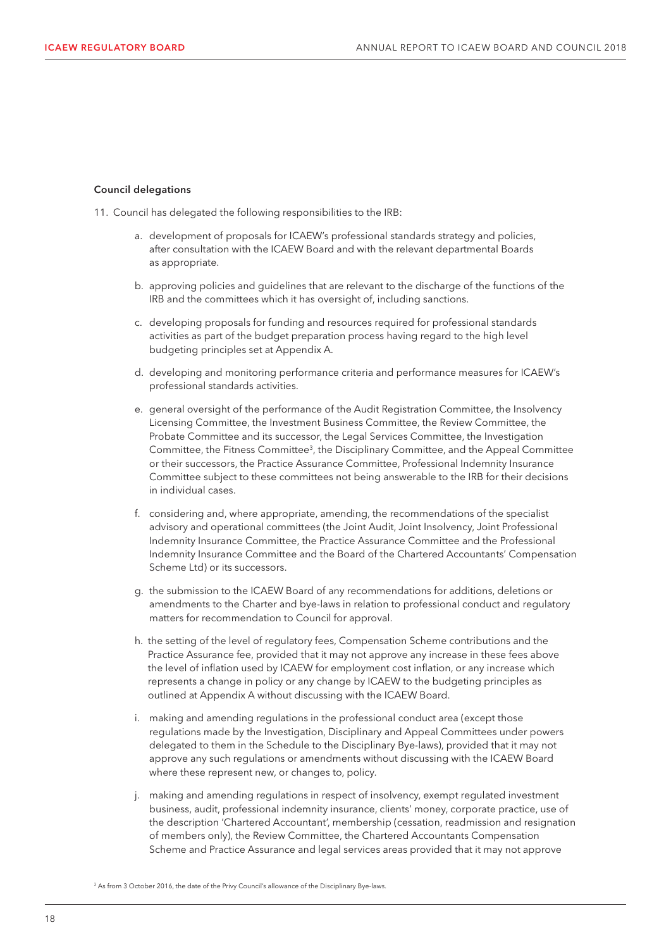#### Council delegations

- 11. Council has delegated the following responsibilities to the IRB:
	- a. development of proposals for ICAEW's professional standards strategy and policies, after consultation with the ICAEW Board and with the relevant departmental Boards as appropriate.
	- b. approving policies and guidelines that are relevant to the discharge of the functions of the IRB and the committees which it has oversight of, including sanctions.
	- c. developing proposals for funding and resources required for professional standards activities as part of the budget preparation process having regard to the high level budgeting principles set at Appendix A.
	- d. developing and monitoring performance criteria and performance measures for ICAEW's professional standards activities.
	- e. general oversight of the performance of the Audit Registration Committee, the Insolvency Licensing Committee, the Investment Business Committee, the Review Committee, the Probate Committee and its successor, the Legal Services Committee, the Investigation Committee, the Fitness Committee3, the Disciplinary Committee, and the Appeal Committee or their successors, the Practice Assurance Committee, Professional Indemnity Insurance Committee subject to these committees not being answerable to the IRB for their decisions in individual cases.
	- f. considering and, where appropriate, amending, the recommendations of the specialist advisory and operational committees (the Joint Audit, Joint Insolvency, Joint Professional Indemnity Insurance Committee, the Practice Assurance Committee and the Professional Indemnity Insurance Committee and the Board of the Chartered Accountants' Compensation Scheme Ltd) or its successors.
	- g. the submission to the ICAEW Board of any recommendations for additions, deletions or amendments to the Charter and bye-laws in relation to professional conduct and regulatory matters for recommendation to Council for approval.
	- h. the setting of the level of regulatory fees, Compensation Scheme contributions and the Practice Assurance fee, provided that it may not approve any increase in these fees above the level of inflation used by ICAEW for employment cost inflation, or any increase which represents a change in policy or any change by ICAEW to the budgeting principles as outlined at Appendix A without discussing with the ICAEW Board.
	- i. making and amending regulations in the professional conduct area (except those regulations made by the Investigation, Disciplinary and Appeal Committees under powers delegated to them in the Schedule to the Disciplinary Bye-laws), provided that it may not approve any such regulations or amendments without discussing with the ICAEW Board where these represent new, or changes to, policy.
	- j. making and amending regulations in respect of insolvency, exempt regulated investment business, audit, professional indemnity insurance, clients' money, corporate practice, use of the description 'Chartered Accountant', membership (cessation, readmission and resignation of members only), the Review Committee, the Chartered Accountants Compensation Scheme and Practice Assurance and legal services areas provided that it may not approve

<sup>&</sup>lt;sup>3</sup> As from 3 October 2016, the date of the Privy Council's allowance of the Disciplinary Bye-laws.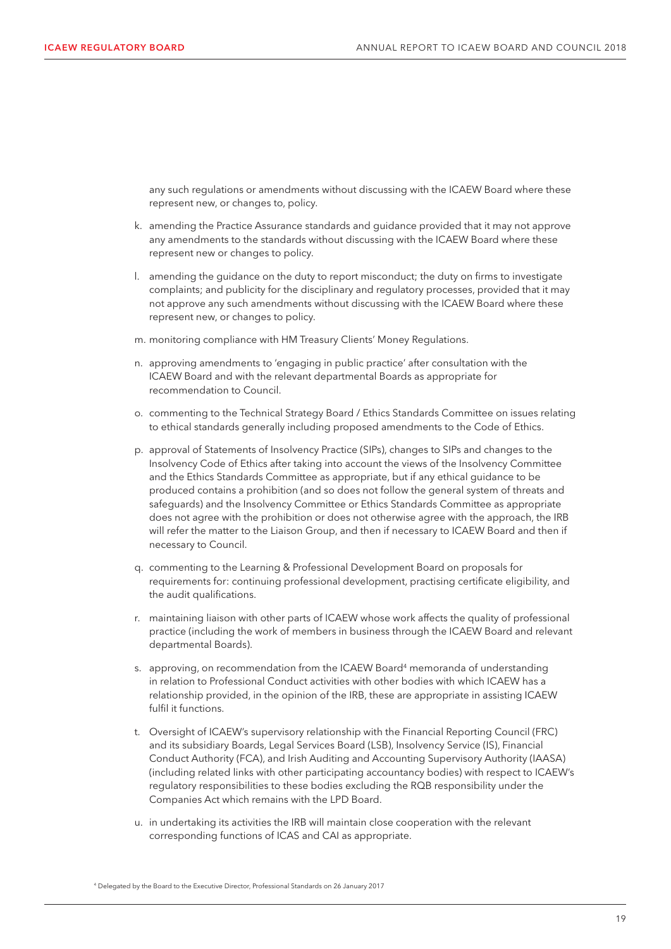any such regulations or amendments without discussing with the ICAEW Board where these represent new, or changes to, policy.

- k. amending the Practice Assurance standards and guidance provided that it may not approve any amendments to the standards without discussing with the ICAEW Board where these represent new or changes to policy.
- l. amending the guidance on the duty to report misconduct; the duty on firms to investigate complaints; and publicity for the disciplinary and regulatory processes, provided that it may not approve any such amendments without discussing with the ICAEW Board where these represent new, or changes to policy.
- m. monitoring compliance with HM Treasury Clients' Money Regulations.
- n. approving amendments to 'engaging in public practice' after consultation with the ICAEW Board and with the relevant departmental Boards as appropriate for recommendation to Council.
- o. commenting to the Technical Strategy Board / Ethics Standards Committee on issues relating to ethical standards generally including proposed amendments to the Code of Ethics.
- p. approval of Statements of Insolvency Practice (SIPs), changes to SIPs and changes to the Insolvency Code of Ethics after taking into account the views of the Insolvency Committee and the Ethics Standards Committee as appropriate, but if any ethical guidance to be produced contains a prohibition (and so does not follow the general system of threats and safeguards) and the Insolvency Committee or Ethics Standards Committee as appropriate does not agree with the prohibition or does not otherwise agree with the approach, the IRB will refer the matter to the Liaison Group, and then if necessary to ICAEW Board and then if necessary to Council.
- q. commenting to the Learning & Professional Development Board on proposals for requirements for: continuing professional development, practising certificate eligibility, and the audit qualifications.
- r. maintaining liaison with other parts of ICAEW whose work affects the quality of professional practice (including the work of members in business through the ICAEW Board and relevant departmental Boards).
- s. approving, on recommendation from the ICAEW Board<sup>4</sup> memoranda of understanding in relation to Professional Conduct activities with other bodies with which ICAEW has a relationship provided, in the opinion of the IRB, these are appropriate in assisting ICAEW fulfil it functions.
- t. Oversight of ICAEW's supervisory relationship with the Financial Reporting Council (FRC) and its subsidiary Boards, Legal Services Board (LSB), Insolvency Service (IS), Financial Conduct Authority (FCA), and Irish Auditing and Accounting Supervisory Authority (IAASA) (including related links with other participating accountancy bodies) with respect to ICAEW's regulatory responsibilities to these bodies excluding the RQB responsibility under the Companies Act which remains with the LPD Board.
- u. in undertaking its activities the IRB will maintain close cooperation with the relevant corresponding functions of ICAS and CAI as appropriate.

<sup>4</sup> Delegated by the Board to the Executive Director, Professional Standards on 26 January 2017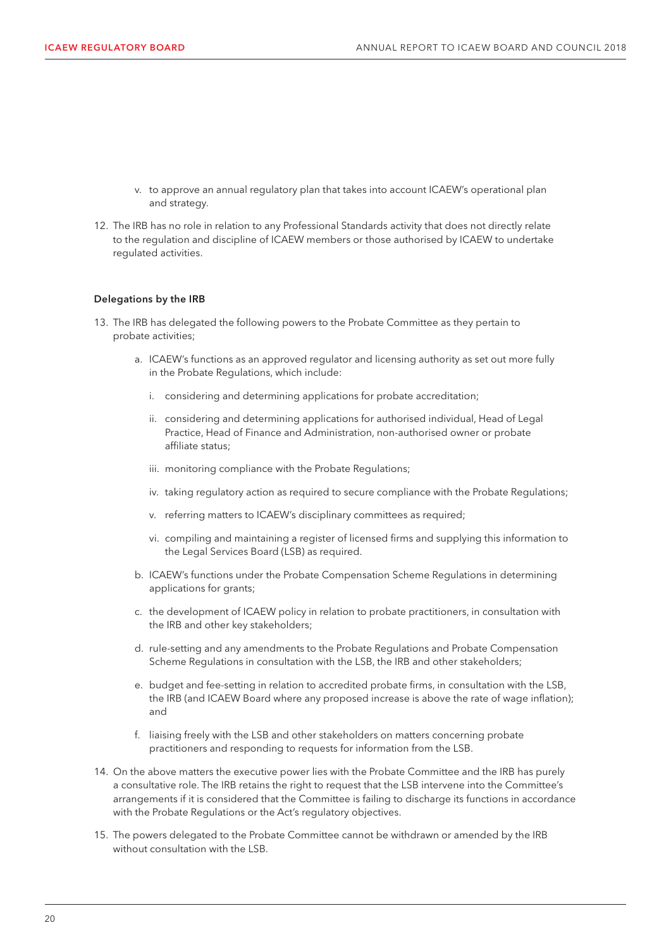- v. to approve an annual regulatory plan that takes into account ICAEW's operational plan and strategy.
- 12. The IRB has no role in relation to any Professional Standards activity that does not directly relate to the regulation and discipline of ICAEW members or those authorised by ICAEW to undertake regulated activities.

#### Delegations by the IRB

- 13. The IRB has delegated the following powers to the Probate Committee as they pertain to probate activities;
	- a. ICAEW's functions as an approved regulator and licensing authority as set out more fully in the Probate Regulations, which include:
		- i. considering and determining applications for probate accreditation;
		- ii. considering and determining applications for authorised individual, Head of Legal Practice, Head of Finance and Administration, non-authorised owner or probate affiliate status;
		- iii. monitoring compliance with the Probate Regulations;
		- iv. taking regulatory action as required to secure compliance with the Probate Regulations;
		- v. referring matters to ICAEW's disciplinary committees as required;
		- vi. compiling and maintaining a register of licensed firms and supplying this information to the Legal Services Board (LSB) as required.
	- b. ICAEW's functions under the Probate Compensation Scheme Regulations in determining applications for grants;
	- c. the development of ICAEW policy in relation to probate practitioners, in consultation with the IRB and other key stakeholders;
	- d. rule-setting and any amendments to the Probate Regulations and Probate Compensation Scheme Regulations in consultation with the LSB, the IRB and other stakeholders;
	- e. budget and fee-setting in relation to accredited probate firms, in consultation with the LSB, the IRB (and ICAEW Board where any proposed increase is above the rate of wage inflation); and
	- f. liaising freely with the LSB and other stakeholders on matters concerning probate practitioners and responding to requests for information from the LSB.
- 14. On the above matters the executive power lies with the Probate Committee and the IRB has purely a consultative role. The IRB retains the right to request that the LSB intervene into the Committee's arrangements if it is considered that the Committee is failing to discharge its functions in accordance with the Probate Regulations or the Act's regulatory objectives.
- 15. The powers delegated to the Probate Committee cannot be withdrawn or amended by the IRB without consultation with the LSB.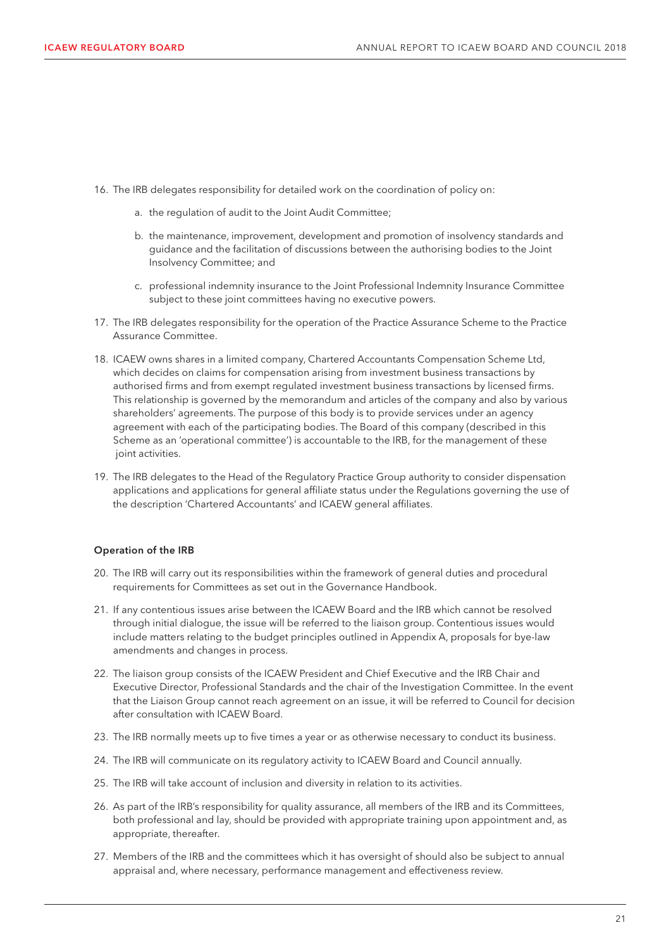- 16. The IRB delegates responsibility for detailed work on the coordination of policy on:
	- a. the regulation of audit to the Joint Audit Committee;
	- b. the maintenance, improvement, development and promotion of insolvency standards and guidance and the facilitation of discussions between the authorising bodies to the Joint Insolvency Committee; and
	- c. professional indemnity insurance to the Joint Professional Indemnity Insurance Committee subject to these joint committees having no executive powers.
- 17. The IRB delegates responsibility for the operation of the Practice Assurance Scheme to the Practice Assurance Committee.
- 18. ICAEW owns shares in a limited company, Chartered Accountants Compensation Scheme Ltd, which decides on claims for compensation arising from investment business transactions by authorised firms and from exempt regulated investment business transactions by licensed firms. This relationship is governed by the memorandum and articles of the company and also by various shareholders' agreements. The purpose of this body is to provide services under an agency agreement with each of the participating bodies. The Board of this company (described in this Scheme as an 'operational committee') is accountable to the IRB, for the management of these joint activities.
- 19. The IRB delegates to the Head of the Regulatory Practice Group authority to consider dispensation applications and applications for general affiliate status under the Regulations governing the use of the description 'Chartered Accountants' and ICAEW general affiliates.

#### Operation of the IRB

- 20. The IRB will carry out its responsibilities within the framework of general duties and procedural requirements for Committees as set out in the Governance Handbook.
- 21. If any contentious issues arise between the ICAEW Board and the IRB which cannot be resolved through initial dialogue, the issue will be referred to the liaison group. Contentious issues would include matters relating to the budget principles outlined in Appendix A, proposals for bye-law amendments and changes in process.
- 22. The liaison group consists of the ICAEW President and Chief Executive and the IRB Chair and Executive Director, Professional Standards and the chair of the Investigation Committee. In the event that the Liaison Group cannot reach agreement on an issue, it will be referred to Council for decision after consultation with ICAEW Board.
- 23. The IRB normally meets up to five times a year or as otherwise necessary to conduct its business.
- 24. The IRB will communicate on its regulatory activity to ICAEW Board and Council annually.
- 25. The IRB will take account of inclusion and diversity in relation to its activities.
- 26. As part of the IRB's responsibility for quality assurance, all members of the IRB and its Committees, both professional and lay, should be provided with appropriate training upon appointment and, as appropriate, thereafter.
- 27. Members of the IRB and the committees which it has oversight of should also be subject to annual appraisal and, where necessary, performance management and effectiveness review.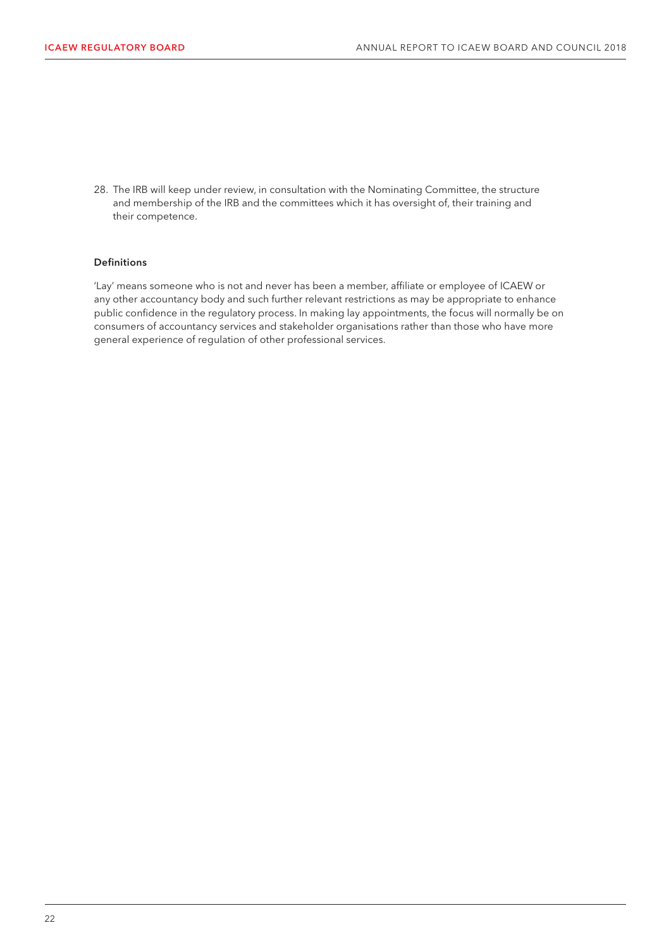28. The IRB will keep under review, in consultation with the Nominating Committee, the structure and membership of the IRB and the committees which it has oversight of, their training and their competence.

#### Definitions

'Lay' means someone who is not and never has been a member, affiliate or employee of ICAEW or any other accountancy body and such further relevant restrictions as may be appropriate to enhance public confidence in the regulatory process. In making lay appointments, the focus will normally be on consumers of accountancy services and stakeholder organisations rather than those who have more general experience of regulation of other professional services.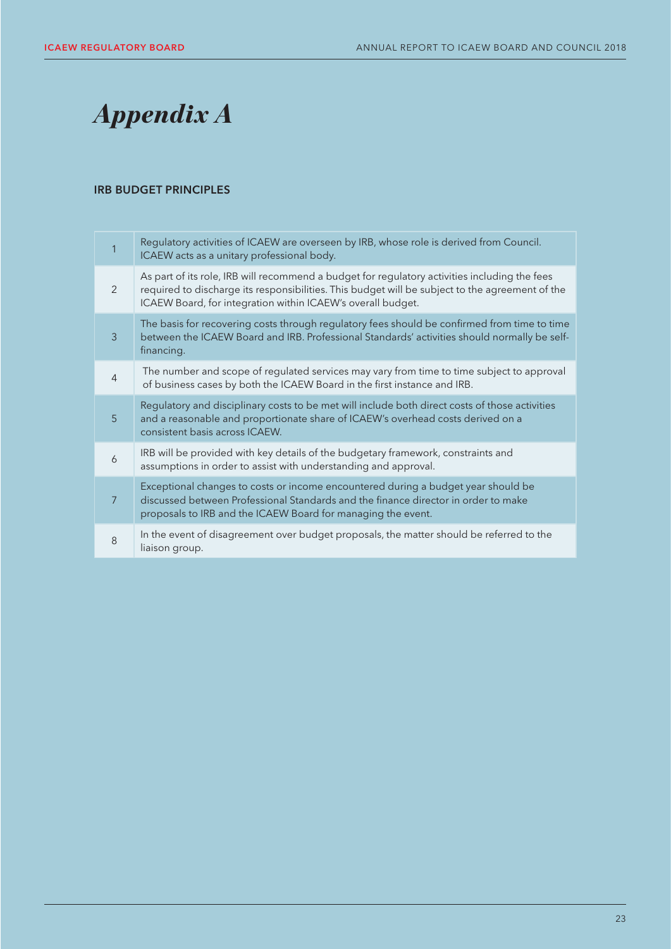# *Appendix A*

#### IRB BUDGET PRINCIPLES

| 1              | Regulatory activities of ICAEW are overseen by IRB, whose role is derived from Council.<br>ICAEW acts as a unitary professional body.                                                                                                                           |
|----------------|-----------------------------------------------------------------------------------------------------------------------------------------------------------------------------------------------------------------------------------------------------------------|
| 2              | As part of its role, IRB will recommend a budget for regulatory activities including the fees<br>required to discharge its responsibilities. This budget will be subject to the agreement of the<br>ICAEW Board, for integration within ICAEW's overall budget. |
| 3              | The basis for recovering costs through regulatory fees should be confirmed from time to time<br>between the ICAEW Board and IRB. Professional Standards' activities should normally be self-<br>financing.                                                      |
| $\overline{4}$ | The number and scope of regulated services may vary from time to time subject to approval<br>of business cases by both the ICAEW Board in the first instance and IRB.                                                                                           |
| 5              | Regulatory and disciplinary costs to be met will include both direct costs of those activities<br>and a reasonable and proportionate share of ICAEW's overhead costs derived on a<br>consistent basis across ICAEW.                                             |
| 6              | IRB will be provided with key details of the budgetary framework, constraints and<br>assumptions in order to assist with understanding and approval.                                                                                                            |
| $\overline{7}$ | Exceptional changes to costs or income encountered during a budget year should be<br>discussed between Professional Standards and the finance director in order to make<br>proposals to IRB and the ICAEW Board for managing the event.                         |
| 8              | In the event of disagreement over budget proposals, the matter should be referred to the<br>liaison group.                                                                                                                                                      |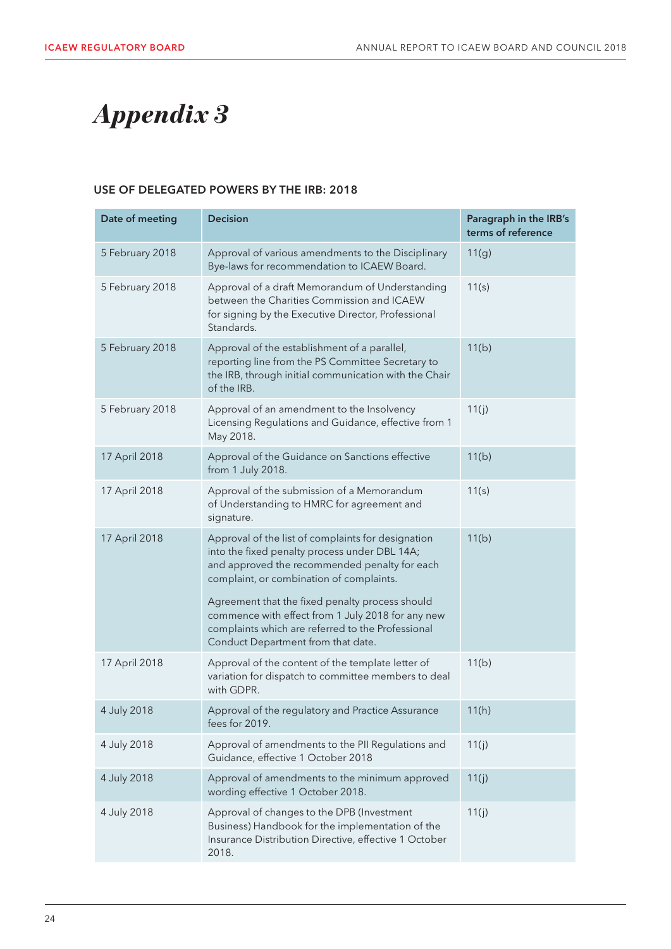# *Appendix 3*

#### USE OF DELEGATED POWERS BY THE IRB: 2018

| Date of meeting | <b>Decision</b>                                                                                                                                                                                                                                                                                                                                                                                     | Paragraph in the IRB's<br>terms of reference |
|-----------------|-----------------------------------------------------------------------------------------------------------------------------------------------------------------------------------------------------------------------------------------------------------------------------------------------------------------------------------------------------------------------------------------------------|----------------------------------------------|
| 5 February 2018 | Approval of various amendments to the Disciplinary<br>Bye-laws for recommendation to ICAEW Board.                                                                                                                                                                                                                                                                                                   | 11(g)                                        |
| 5 February 2018 | Approval of a draft Memorandum of Understanding<br>between the Charities Commission and ICAEW<br>for signing by the Executive Director, Professional<br>Standards.                                                                                                                                                                                                                                  | 11(s)                                        |
| 5 February 2018 | Approval of the establishment of a parallel,<br>reporting line from the PS Committee Secretary to<br>the IRB, through initial communication with the Chair<br>of the IRB.                                                                                                                                                                                                                           | 11(b)                                        |
| 5 February 2018 | Approval of an amendment to the Insolvency<br>Licensing Regulations and Guidance, effective from 1<br>May 2018.                                                                                                                                                                                                                                                                                     | 11(j)                                        |
| 17 April 2018   | Approval of the Guidance on Sanctions effective<br>from 1 July 2018.                                                                                                                                                                                                                                                                                                                                | 11(b)                                        |
| 17 April 2018   | Approval of the submission of a Memorandum<br>of Understanding to HMRC for agreement and<br>signature.                                                                                                                                                                                                                                                                                              | 11(s)                                        |
| 17 April 2018   | Approval of the list of complaints for designation<br>into the fixed penalty process under DBL 14A;<br>and approved the recommended penalty for each<br>complaint, or combination of complaints.<br>Agreement that the fixed penalty process should<br>commence with effect from 1 July 2018 for any new<br>complaints which are referred to the Professional<br>Conduct Department from that date. | 11(b)                                        |
| 17 April 2018   | Approval of the content of the template letter of<br>variation for dispatch to committee members to deal<br>with GDPR.                                                                                                                                                                                                                                                                              | 11(b)                                        |
| 4 July 2018     | Approval of the regulatory and Practice Assurance<br>fees for 2019.                                                                                                                                                                                                                                                                                                                                 | 11(h)                                        |
| 4 July 2018     | Approval of amendments to the PII Regulations and<br>Guidance, effective 1 October 2018                                                                                                                                                                                                                                                                                                             | 11(j)                                        |
| 4 July 2018     | Approval of amendments to the minimum approved<br>wording effective 1 October 2018.                                                                                                                                                                                                                                                                                                                 | 11(j)                                        |
| 4 July 2018     | Approval of changes to the DPB (Investment<br>Business) Handbook for the implementation of the<br>Insurance Distribution Directive, effective 1 October<br>2018.                                                                                                                                                                                                                                    | 11(j)                                        |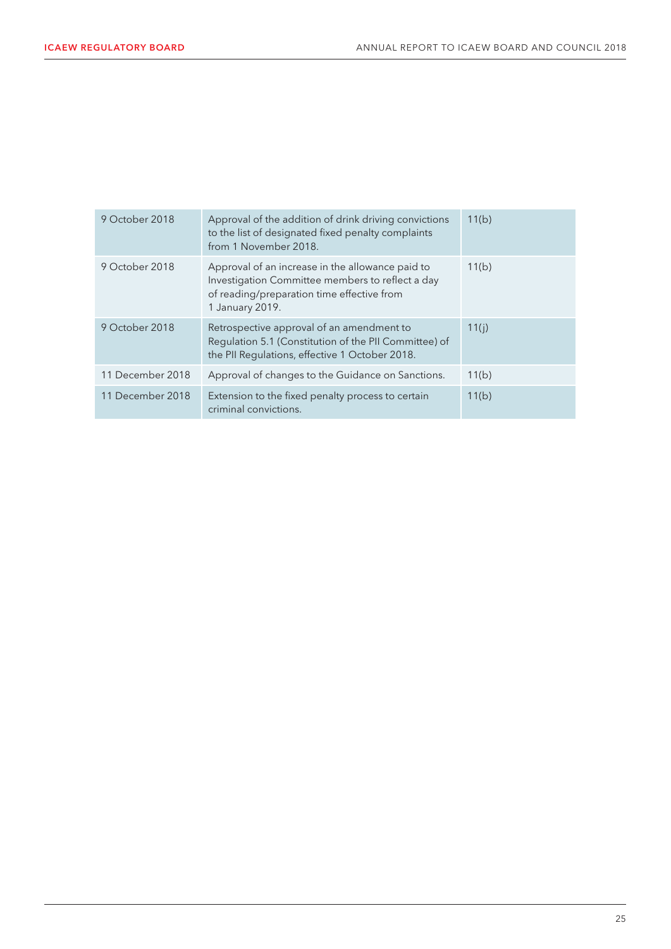| 9 October 2018   | Approval of the addition of drink driving convictions<br>to the list of designated fixed penalty complaints<br>from 1 November 2018.                                  | 11(b) |
|------------------|-----------------------------------------------------------------------------------------------------------------------------------------------------------------------|-------|
| 9 October 2018   | Approval of an increase in the allowance paid to<br>Investigation Committee members to reflect a day<br>of reading/preparation time effective from<br>1 January 2019. | 11(b) |
| 9 October 2018   | Retrospective approval of an amendment to<br>Regulation 5.1 (Constitution of the PII Committee) of<br>the PII Regulations, effective 1 October 2018.                  | 11(i) |
| 11 December 2018 | Approval of changes to the Guidance on Sanctions.                                                                                                                     | 11(b) |
| 11 December 2018 | Extension to the fixed penalty process to certain<br>criminal convictions.                                                                                            | 11(b) |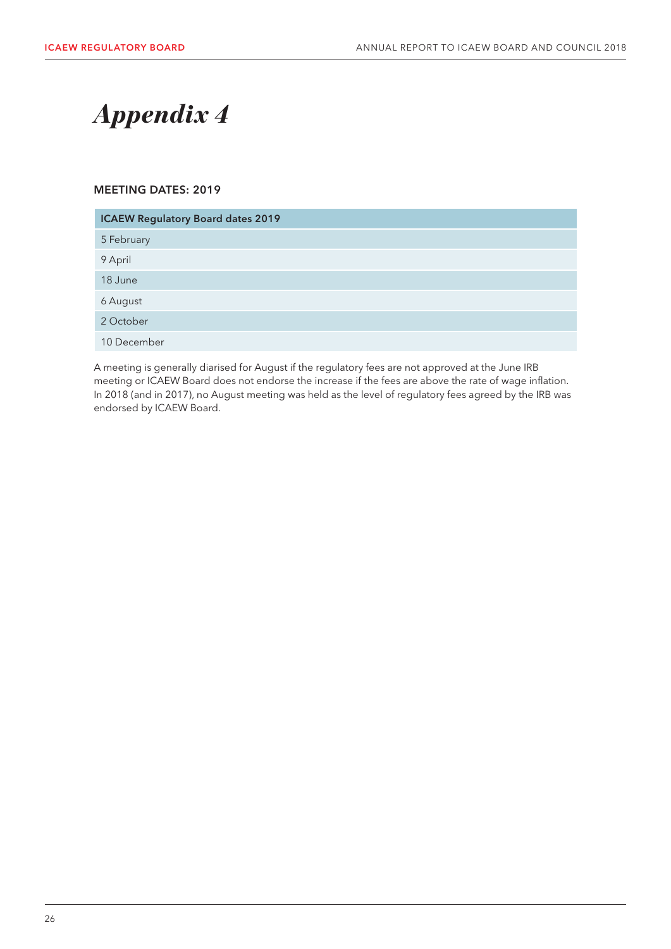## *Appendix 4*

#### MEETING DATES: 2019

| <b>ICAEW Regulatory Board dates 2019</b> |  |  |
|------------------------------------------|--|--|
| 5 February                               |  |  |
| 9 April                                  |  |  |
| 18 June                                  |  |  |
| 6 August                                 |  |  |
| 2 October                                |  |  |
| 10 December                              |  |  |

A meeting is generally diarised for August if the regulatory fees are not approved at the June IRB meeting or ICAEW Board does not endorse the increase if the fees are above the rate of wage inflation. In 2018 (and in 2017), no August meeting was held as the level of regulatory fees agreed by the IRB was endorsed by ICAEW Board.